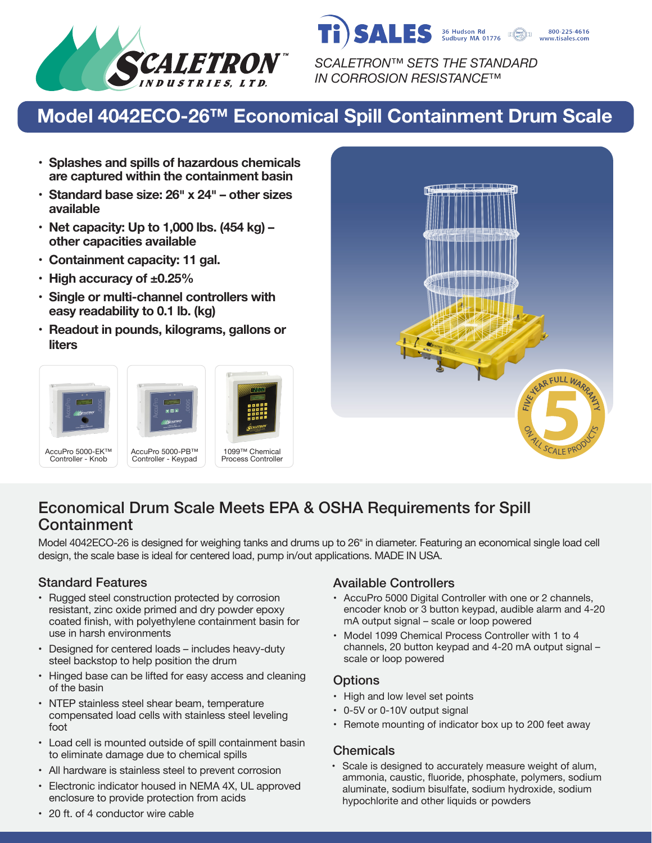

**SALES** 36 Hudson Rd<br>Sudbury MA 01776 800-225-4616 www.tisales.com

*SCALETRON™ SETS THE STANDARD IN CORROSION RESISTANCE™*

# **Model 4042ECO-26™ Economical Spill Containment Drum Scale**

- **• Splashes and spills of hazardous chemicals are captured within the containment basin**
- **• Standard base size: 26� x 24� – other sizes available**
- **• Net capacity: Up to 1,000 lbs. (454 kg) – other capacities available**
- **• Containment capacity: 11 gal.**
- **• High accuracy of ±0.25%**
- **• Single or multi-channel controllers with easy readability to 0.1 lb. (kg)**
- **• Readout in pounds, kilograms, gallons or liters**





## Economical Drum Scale Meets EPA & OSHA Requirements for Spill **Containment**

Model 4042ECO-26 is designed for weighing tanks and drums up to 26" in diameter. Featuring an economical single load cell design, the scale base is ideal for centered load, pump in/out applications. MADE IN USA.

- Rugged steel construction protected by corrosion resistant, zinc oxide primed and dry powder epoxy coated finish, with polyethylene containment basin for use in harsh environments
- Designed for centered loads includes heavy-duty steel backstop to help position the drum
- Hinged base can be lifted for easy access and cleaning of the basin
- NTEP stainless steel shear beam, temperature compensated load cells with stainless steel leveling foot
- Load cell is mounted outside of spill containment basin to eliminate damage due to chemical spills
- All hardware is stainless steel to prevent corrosion
- Electronic indicator housed in NEMA 4X, UL approved enclosure to provide protection from acids

### Standard Features Available Controllers

- AccuPro 5000 Digital Controller with one or 2 channels, encoder knob or 3 button keypad, audible alarm and 4-20 mA output signal – scale or loop powered
- Model 1099 Chemical Process Controller with 1 to 4 channels, 20 button keypad and 4-20 mA output signal – scale or loop powered

### **Options**

- High and low level set points
- 0-5V or 0-10V output signal
- Remote mounting of indicator box up to 200 feet away

### **Chemicals**

• Scale is designed to accurately measure weight of alum, ammonia, caustic, fluoride, phosphate, polymers, sodium aluminate, sodium bisulfate, sodium hydroxide, sodium hypochlorite and other liquids or powders

• 20 ft. of 4 conductor wire cable